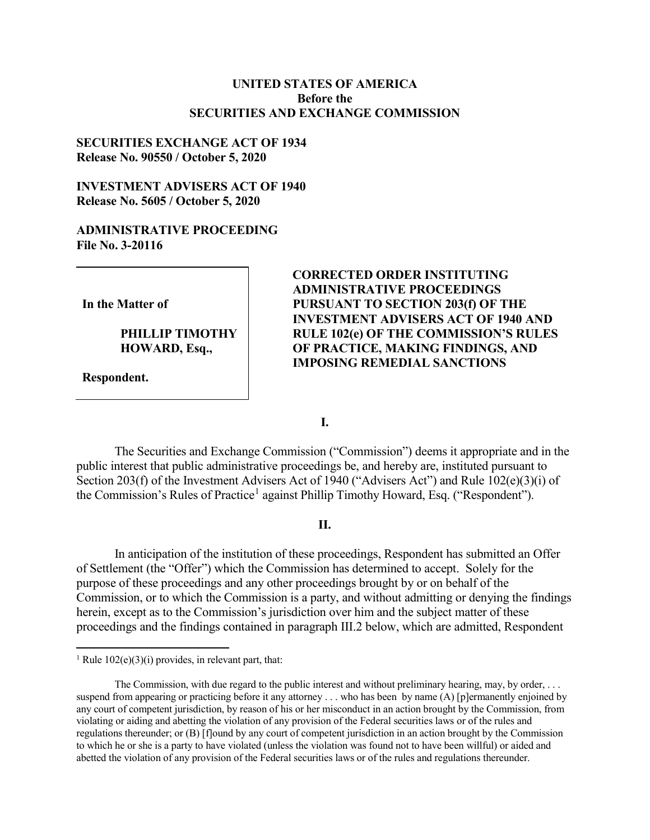## **UNITED STATES OF AMERICA Before the SECURITIES AND EXCHANGE COMMISSION**

## **SECURITIES EXCHANGE ACT OF 1934 Release No. 90550 / October 5, 2020**

# **INVESTMENT ADVISERS ACT OF 1940 Release No. 5605 / October 5, 2020**

### **ADMINISTRATIVE PROCEEDING File No. 3-20116**

**In the Matter of**

**PHILLIP TIMOTHY HOWARD, Esq.,**

**Respondent.**

# **CORRECTED ORDER INSTITUTING ADMINISTRATIVE PROCEEDINGS PURSUANT TO SECTION 203(f) OF THE INVESTMENT ADVISERS ACT OF 1940 AND RULE 102(e) OF THE COMMISSION'S RULES OF PRACTICE, MAKING FINDINGS, AND IMPOSING REMEDIAL SANCTIONS**

**I.**

The Securities and Exchange Commission ("Commission") deems it appropriate and in the public interest that public administrative proceedings be, and hereby are, instituted pursuant to Section 203(f) of the Investment Advisers Act of 1940 ("Advisers Act") and Rule 102(e)(3)(i) of the Commission's Rules of Practice<sup>[1](#page-0-0)</sup> against Phillip Timothy Howard, Esq. ("Respondent").

### **II.**

In anticipation of the institution of these proceedings, Respondent has submitted an Offer of Settlement (the "Offer") which the Commission has determined to accept. Solely for the purpose of these proceedings and any other proceedings brought by or on behalf of the Commission, or to which the Commission is a party, and without admitting or denying the findings herein, except as to the Commission's jurisdiction over him and the subject matter of these proceedings and the findings contained in paragraph III.2 below, which are admitted, Respondent

<span id="page-0-0"></span><sup>&</sup>lt;sup>1</sup> Rule  $102(e)(3)(i)$  provides, in relevant part, that:

The Commission, with due regard to the public interest and without preliminary hearing, may, by order, . . . suspend from appearing or practicing before it any attorney ... who has been by name (A) [p]ermanently enjoined by any court of competent jurisdiction, by reason of his or her misconduct in an action brought by the Commission, from violating or aiding and abetting the violation of any provision of the Federal securities laws or of the rules and regulations thereunder; or (B) [f]ound by any court of competent jurisdiction in an action brought by the Commission to which he or she is a party to have violated (unless the violation was found not to have been willful) or aided and abetted the violation of any provision of the Federal securities laws or of the rules and regulations thereunder.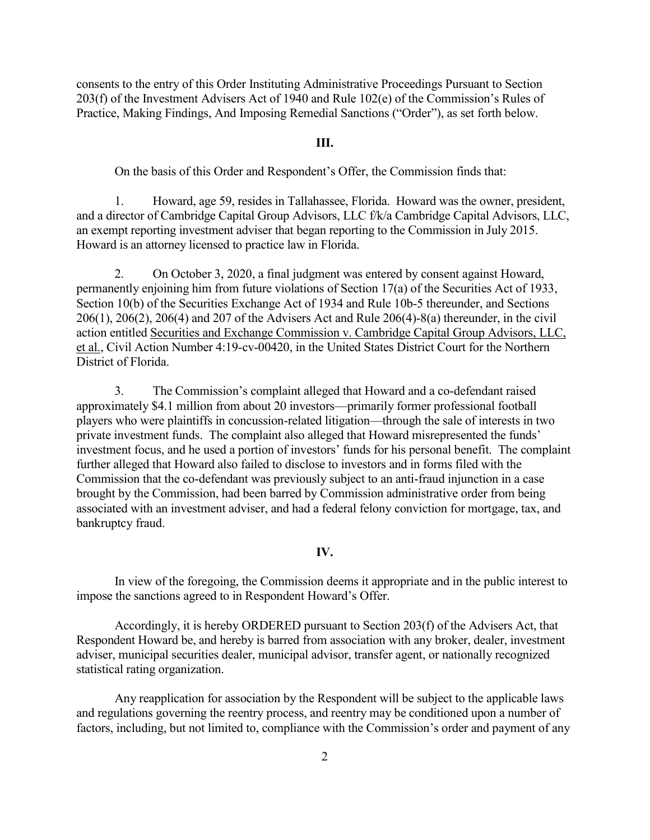consents to the entry of this Order Instituting Administrative Proceedings Pursuant to Section 203(f) of the Investment Advisers Act of 1940 and Rule 102(e) of the Commission's Rules of Practice, Making Findings, And Imposing Remedial Sanctions ("Order"), as set forth below.

#### **III.**

On the basis of this Order and Respondent's Offer, the Commission finds that:

1. Howard, age 59, resides in Tallahassee, Florida. Howard was the owner, president, and a director of Cambridge Capital Group Advisors, LLC f/k/a Cambridge Capital Advisors, LLC, an exempt reporting investment adviser that began reporting to the Commission in July 2015. Howard is an attorney licensed to practice law in Florida.

2. On October 3, 2020, a final judgment was entered by consent against Howard, permanently enjoining him from future violations of Section 17(a) of the Securities Act of 1933, Section 10(b) of the Securities Exchange Act of 1934 and Rule 10b-5 thereunder, and Sections 206(1), 206(2), 206(4) and 207 of the Advisers Act and Rule 206(4)-8(a) thereunder, in the civil action entitled Securities and Exchange Commission v. Cambridge Capital Group Advisors, LLC, et al., Civil Action Number 4:19-cv-00420, in the United States District Court for the Northern District of Florida.

3. The Commission's complaint alleged that Howard and a co-defendant raised approximately \$4.1 million from about 20 investors—primarily former professional football players who were plaintiffs in concussion-related litigation—through the sale of interests in two private investment funds. The complaint also alleged that Howard misrepresented the funds' investment focus, and he used a portion of investors' funds for his personal benefit. The complaint further alleged that Howard also failed to disclose to investors and in forms filed with the Commission that the co-defendant was previously subject to an anti-fraud injunction in a case brought by the Commission, had been barred by Commission administrative order from being associated with an investment adviser, and had a federal felony conviction for mortgage, tax, and bankruptcy fraud.

#### **IV.**

In view of the foregoing, the Commission deems it appropriate and in the public interest to impose the sanctions agreed to in Respondent Howard's Offer.

Accordingly, it is hereby ORDERED pursuant to Section 203(f) of the Advisers Act, that Respondent Howard be, and hereby is barred from association with any broker, dealer, investment adviser, municipal securities dealer, municipal advisor, transfer agent, or nationally recognized statistical rating organization.

Any reapplication for association by the Respondent will be subject to the applicable laws and regulations governing the reentry process, and reentry may be conditioned upon a number of factors, including, but not limited to, compliance with the Commission's order and payment of any